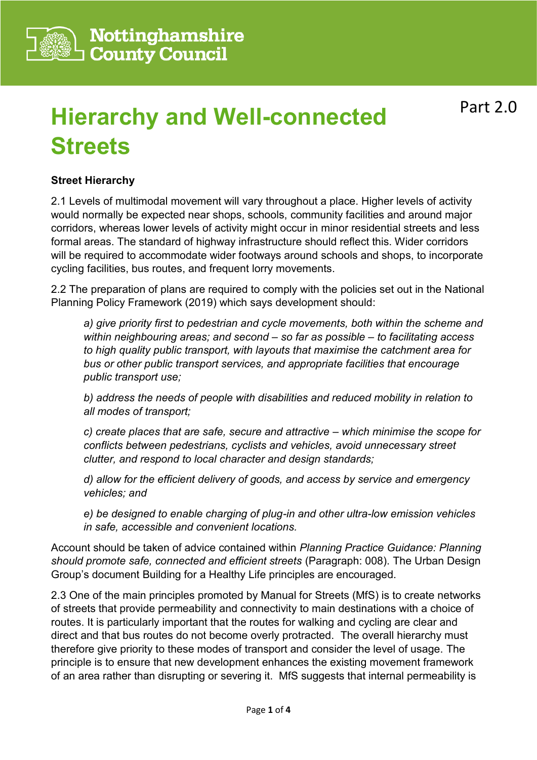

# **Hierarchy and Well-connected Streets**

## **Street Hierarchy**

2.1 Levels of multimodal movement will vary throughout a place. Higher levels of activity would normally be expected near shops, schools, community facilities and around major corridors, whereas lower levels of activity might occur in minor residential streets and less formal areas. The standard of highway infrastructure should reflect this. Wider corridors will be required to accommodate wider footways around schools and shops, to incorporate cycling facilities, bus routes, and frequent lorry movements.

2.2 The preparation of plans are required to comply with the policies set out in the National Planning Policy Framework (2019) which says development should:

*a) give priority first to pedestrian and cycle movements, both within the scheme and within neighbouring areas; and second – so far as possible – to facilitating access to high quality public transport, with layouts that maximise the catchment area for bus or other public transport services, and appropriate facilities that encourage public transport use;* 

*b) address the needs of people with disabilities and reduced mobility in relation to all modes of transport;* 

*c) create places that are safe, secure and attractive – which minimise the scope for conflicts between pedestrians, cyclists and vehicles, avoid unnecessary street clutter, and respond to local character and design standards;* 

*d) allow for the efficient delivery of goods, and access by service and emergency vehicles; and* 

*e) be designed to enable charging of plug-in and other ultra-low emission vehicles in safe, accessible and convenient locations.*

Account should be taken of advice contained within *Planning Practice Guidance: Planning should promote safe, connected and efficient streets* (Paragraph: 008). The Urban Design Group's document Building for a Healthy Life principles are encouraged.

2.3 One of the main principles promoted by Manual for Streets (MfS) is to create networks of streets that provide permeability and connectivity to main destinations with a choice of routes. It is particularly important that the routes for walking and cycling are clear and direct and that bus routes do not become overly protracted. The overall hierarchy must therefore give priority to these modes of transport and consider the level of usage. The principle is to ensure that new development enhances the existing movement framework of an area rather than disrupting or severing it. MfS suggests that internal permeability is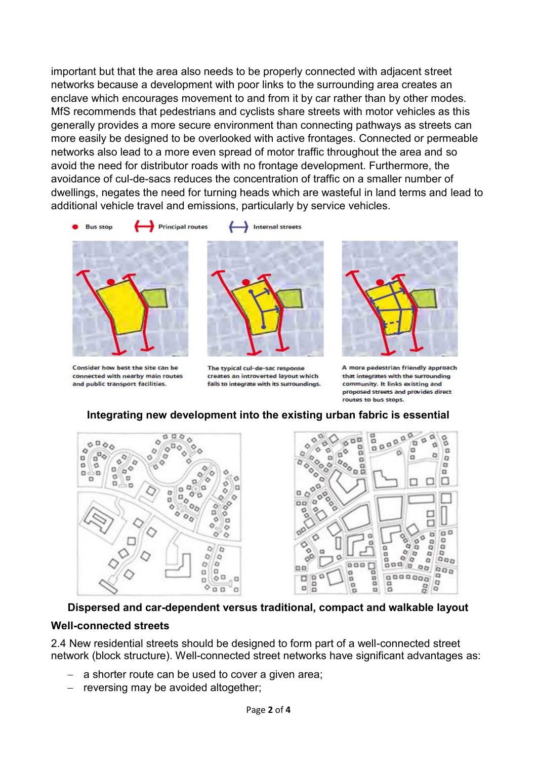important but that the area also needs to be properly connected with adjacent street networks because a development with poor links to the surrounding area creates an enclave which encourages movement to and from it by car rather than by other modes. MfS recommends that pedestrians and cyclists share streets with motor vehicles as this generally provides a more secure environment than connecting pathways as streets can more easily be designed to be overlooked with active frontages. Connected or permeable networks also lead to a more even spread of motor traffic throughout the area and so avoid the need for distributor roads with no frontage development. Furthermore, the avoidance of cul-de-sacs reduces the concentration of traffic on a smaller number of dwellings, negates the need for turning heads which are wasteful in land terms and lead to additional vehicle travel and emissions, particularly by service vehicles.



Consider how best the site can be connected with nearby main routes and public transport facilities.



Internal streets

The typical cul-de-sac response creates an introverted lavout which fails to integrate with its surroundings.



A more pedestrian friendly approach that integrates with the surrounding community. It links existing and proposed streets and provides direct routes to bus stops.

 $\alpha$ 

16

'n

 $\blacksquare$ 

1b **D** 

99

8

ø  $\overline{a}$ 

ø

۵

å

 $\alpha$ 

 $\Box$ 

o

ä

п

ao<br>o

990

 $000$ 

o

0.0

a

d

b)

α

□

□

 $\overline{a}$ ö ap D<sub>O</sub>

# **Integrating new development into the existing urban fabric is essential**



**Dispersed and car-dependent versus traditional, compact and walkable layout Well-connected streets**

2.4 New residential streets should be designed to form part of a well-connected street network (block structure). Well-connected street networks have significant advantages as:

- a shorter route can be used to cover a given area;
- − reversing may be avoided altogether;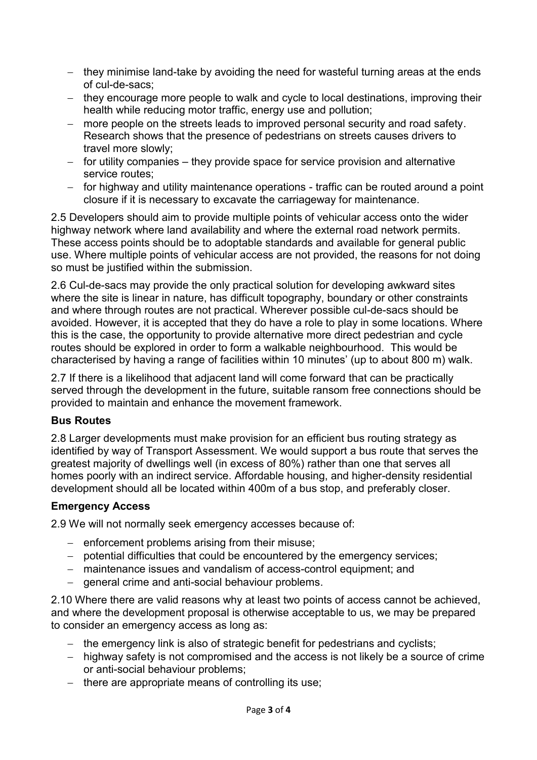- − they minimise land-take by avoiding the need for wasteful turning areas at the ends of cul-de-sacs;
- − they encourage more people to walk and cycle to local destinations, improving their health while reducing motor traffic, energy use and pollution;
- − more people on the streets leads to improved personal security and road safety. Research shows that the presence of pedestrians on streets causes drivers to travel more slowly;
- − for utility companies they provide space for service provision and alternative service routes;
- − for highway and utility maintenance operations traffic can be routed around a point closure if it is necessary to excavate the carriageway for maintenance.

2.5 Developers should aim to provide multiple points of vehicular access onto the wider highway network where land availability and where the external road network permits. These access points should be to adoptable standards and available for general public use. Where multiple points of vehicular access are not provided, the reasons for not doing so must be justified within the submission.

2.6 Cul-de-sacs may provide the only practical solution for developing awkward sites where the site is linear in nature, has difficult topography, boundary or other constraints and where through routes are not practical. Wherever possible cul-de-sacs should be avoided. However, it is accepted that they do have a role to play in some locations. Where this is the case, the opportunity to provide alternative more direct pedestrian and cycle routes should be explored in order to form a walkable neighbourhood. This would be characterised by having a range of facilities within 10 minutes' (up to about 800 m) walk.

2.7 If there is a likelihood that adjacent land will come forward that can be practically served through the development in the future, suitable ransom free connections should be provided to maintain and enhance the movement framework.

### **Bus Routes**

2.8 Larger developments must make provision for an efficient bus routing strategy as identified by way of Transport Assessment. We would support a bus route that serves the greatest majority of dwellings well (in excess of 80%) rather than one that serves all homes poorly with an indirect service. Affordable housing, and higher-density residential development should all be located within 400m of a bus stop, and preferably closer.

#### **Emergency Access**

2.9 We will not normally seek emergency accesses because of:

- − enforcement problems arising from their misuse;
- − potential difficulties that could be encountered by the emergency services;
- − maintenance issues and vandalism of access-control equipment; and
- − general crime and anti-social behaviour problems.

2.10 Where there are valid reasons why at least two points of access cannot be achieved, and where the development proposal is otherwise acceptable to us, we may be prepared to consider an emergency access as long as:

- − the emergency link is also of strategic benefit for pedestrians and cyclists;
- − highway safety is not compromised and the access is not likely be a source of crime or anti-social behaviour problems;
- − there are appropriate means of controlling its use;